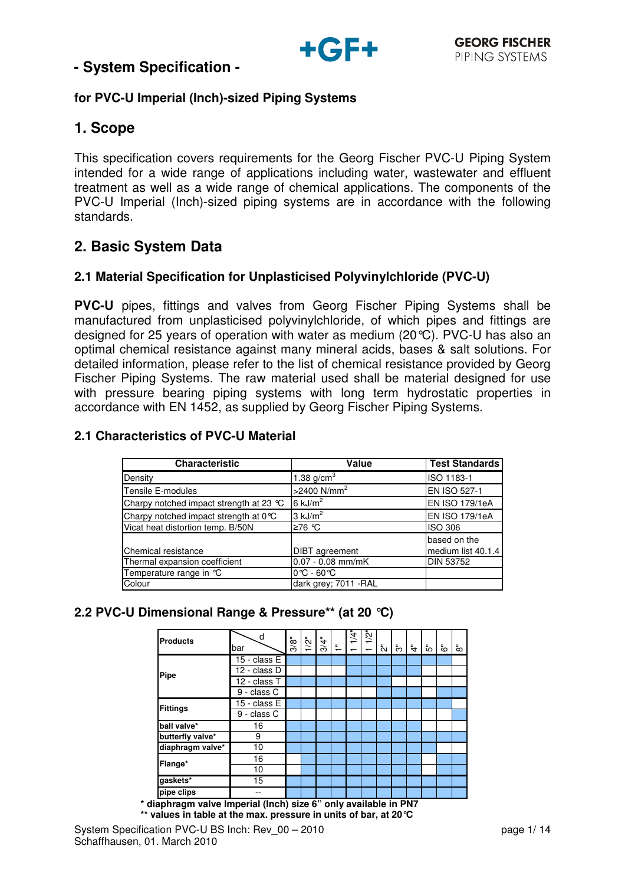

## **for PVC-U Imperial (Inch)-sized Piping Systems**

## **1. Scope**

This specification covers requirements for the Georg Fischer PVC-U Piping System intended for a wide range of applications including water, wastewater and effluent treatment as well as a wide range of chemical applications. The components of the PVC-U Imperial (Inch)-sized piping systems are in accordance with the following standards.

# **2. Basic System Data**

### **2.1 Material Specification for Unplasticised Polyvinylchloride (PVC-U)**

**PVC-U** pipes, fittings and valves from Georg Fischer Piping Systems shall be manufactured from unplasticised polyvinylchloride, of which pipes and fittings are designed for 25 years of operation with water as medium (20°C). PVC-U has also an optimal chemical resistance against many mineral acids, bases & salt solutions. For detailed information, please refer to the list of chemical resistance provided by Georg Fischer Piping Systems. The raw material used shall be material designed for use with pressure bearing piping systems with long term hydrostatic properties in accordance with EN 1452, as supplied by Georg Fischer Piping Systems.

### **2.1 Characteristics of PVC-U Material**

| Characteristic                          | Value                           | <b>Test Standards</b> |
|-----------------------------------------|---------------------------------|-----------------------|
| Density                                 | 1.38 $g/cm3$                    | ISO 1183-1            |
| Tensile E-modules                       | $>$ 2400 N/mm <sup>2</sup>      | EN ISO 527-1          |
| Charpy notched impact strength at 23 °C | $6 \text{ kJ/m}^2$              | EN ISO 179/1eA        |
| Charpy notched impact strength at 0°C   | $3$ kJ/m <sup>2</sup>           | EN ISO 179/1eA        |
| Vicat heat distortion temp. B/50N       | ≥76 ℃                           | <b>ISO 306</b>        |
|                                         |                                 | based on the          |
| Chemical resistance                     | <b>DIBT</b> agreement           | medium list 40.1.4    |
| Thermal expansion coefficient           | $0.07 - 0.08$ mm/mK             | <b>DIN 53752</b>      |
| Temperature range in °C                 | $0^{\circ}$ C - 60 $^{\circ}$ C |                       |
| Colour                                  | dark grey; 7011 - RAL           |                       |

## **2.2 PVC-U Dimensional Range & Pressure\*\* (at 20 °C)**

| <b>Products</b>  | d<br>bar     | 3/8" | $1/2$ " | 3/4" | $\frac{1}{2}$ | $\frac{1}{4}$<br>$\overline{\phantom{0}}$ | $1/2$ "<br>$\overline{\phantom{0}}$ | ้ัง | స్ | $\ddot{\tau}$ | ້ເດ | قً | ៵៓ |
|------------------|--------------|------|---------|------|---------------|-------------------------------------------|-------------------------------------|-----|----|---------------|-----|----|----|
|                  | 15 - class E |      |         |      |               |                                           |                                     |     |    |               |     |    |    |
| Pipe             | 12 - class D |      |         |      |               |                                           |                                     |     |    |               |     |    |    |
|                  | 12 - class T |      |         |      |               |                                           |                                     |     |    |               |     |    |    |
|                  | 9 - class C  |      |         |      |               |                                           |                                     |     |    |               |     |    |    |
| <b>Fittings</b>  | 15 - class E |      |         |      |               |                                           |                                     |     |    |               |     |    |    |
|                  | 9 - class C  |      |         |      |               |                                           |                                     |     |    |               |     |    |    |
| ball valve*      | 16           |      |         |      |               |                                           |                                     |     |    |               |     |    |    |
| butterfly valve* | 9            |      |         |      |               |                                           |                                     |     |    |               |     |    |    |
| diaphragm valve* | 10           |      |         |      |               |                                           |                                     |     |    |               |     |    |    |
| Flange*          | 16           |      |         |      |               |                                           |                                     |     |    |               |     |    |    |
|                  | 10           |      |         |      |               |                                           |                                     |     |    |               |     |    |    |
| gaskets*         | 15           |      |         |      |               |                                           |                                     |     |    |               |     |    |    |
| pipe clips       |              |      |         |      |               |                                           |                                     |     |    |               |     |    |    |

**\* diaphragm valve Imperial (Inch) size 6" only available in PN7 \*\* values in table at the max. pressure in units of bar, at 20°C**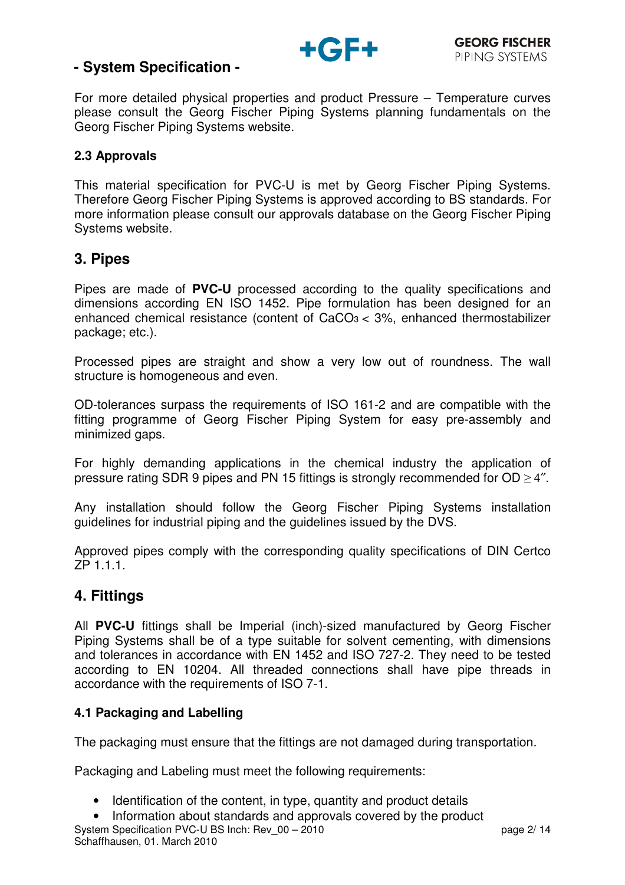

For more detailed physical properties and product Pressure – Temperature curves please consult the Georg Fischer Piping Systems planning fundamentals on the Georg Fischer Piping Systems website.

### **2.3 Approvals**

This material specification for PVC-U is met by Georg Fischer Piping Systems. Therefore Georg Fischer Piping Systems is approved according to BS standards. For more information please consult our approvals database on the Georg Fischer Piping Systems website.

## **3. Pipes**

Pipes are made of **PVC-U** processed according to the quality specifications and dimensions according EN ISO 1452. Pipe formulation has been designed for an enhanced chemical resistance (content of  $CaCO<sub>3</sub> < 3%$ , enhanced thermostabilizer package; etc.).

Processed pipes are straight and show a very low out of roundness. The wall structure is homogeneous and even.

OD-tolerances surpass the requirements of ISO 161-2 and are compatible with the fitting programme of Georg Fischer Piping System for easy pre-assembly and minimized gaps.

For highly demanding applications in the chemical industry the application of pressure rating SDR 9 pipes and PN 15 fittings is strongly recommended for OD > 4".

Any installation should follow the Georg Fischer Piping Systems installation guidelines for industrial piping and the guidelines issued by the DVS.

Approved pipes comply with the corresponding quality specifications of DIN Certco ZP 1.1.1.

## **4. Fittings**

All **PVC-U** fittings shall be Imperial (inch)-sized manufactured by Georg Fischer Piping Systems shall be of a type suitable for solvent cementing, with dimensions and tolerances in accordance with EN 1452 and ISO 727-2. They need to be tested according to EN 10204. All threaded connections shall have pipe threads in accordance with the requirements of ISO 7-1.

## **4.1 Packaging and Labelling**

The packaging must ensure that the fittings are not damaged during transportation.

Packaging and Labeling must meet the following requirements:

- Identification of the content, in type, quantity and product details
- System Specification PVC-U BS Inch: Rev 00 2010 **page 2/ 14** page 2/ 14 • Information about standards and approvals covered by the product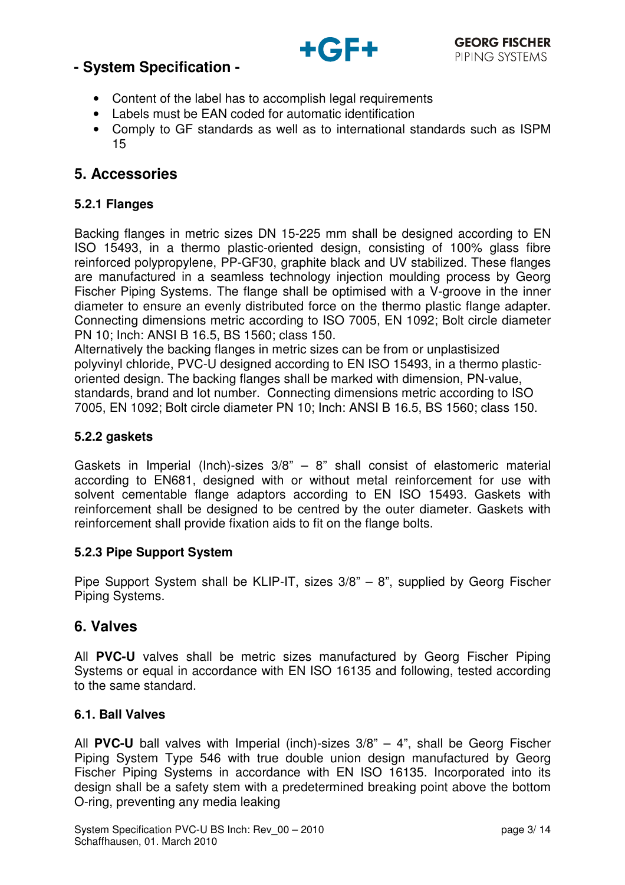

- Content of the label has to accomplish legal requirements
- Labels must be EAN coded for automatic identification
- Comply to GF standards as well as to international standards such as ISPM 15

## **5. Accessories**

### **5.2.1 Flanges**

Backing flanges in metric sizes DN 15-225 mm shall be designed according to EN ISO 15493, in a thermo plastic-oriented design, consisting of 100% glass fibre reinforced polypropylene, PP-GF30, graphite black and UV stabilized. These flanges are manufactured in a seamless technology injection moulding process by Georg Fischer Piping Systems. The flange shall be optimised with a V-groove in the inner diameter to ensure an evenly distributed force on the thermo plastic flange adapter. Connecting dimensions metric according to ISO 7005, EN 1092; Bolt circle diameter PN 10; Inch: ANSI B 16.5, BS 1560; class 150.

Alternatively the backing flanges in metric sizes can be from or unplastisized polyvinyl chloride, PVC-U designed according to EN ISO 15493, in a thermo plasticoriented design. The backing flanges shall be marked with dimension, PN-value, standards, brand and lot number. Connecting dimensions metric according to ISO 7005, EN 1092; Bolt circle diameter PN 10; Inch: ANSI B 16.5, BS 1560; class 150.

### **5.2.2 gaskets**

Gaskets in Imperial (Inch)-sizes  $3/8$ " – 8" shall consist of elastomeric material according to EN681, designed with or without metal reinforcement for use with solvent cementable flange adaptors according to EN ISO 15493. Gaskets with reinforcement shall be designed to be centred by the outer diameter. Gaskets with reinforcement shall provide fixation aids to fit on the flange bolts.

### **5.2.3 Pipe Support System**

Pipe Support System shall be KLIP-IT, sizes 3/8" – 8", supplied by Georg Fischer Piping Systems.

## **6. Valves**

All **PVC-U** valves shall be metric sizes manufactured by Georg Fischer Piping Systems or equal in accordance with EN ISO 16135 and following, tested according to the same standard.

### **6.1. Ball Valves**

All **PVC-U** ball valves with Imperial (inch)-sizes 3/8" – 4", shall be Georg Fischer Piping System Type 546 with true double union design manufactured by Georg Fischer Piping Systems in accordance with EN ISO 16135. Incorporated into its design shall be a safety stem with a predetermined breaking point above the bottom O-ring, preventing any media leaking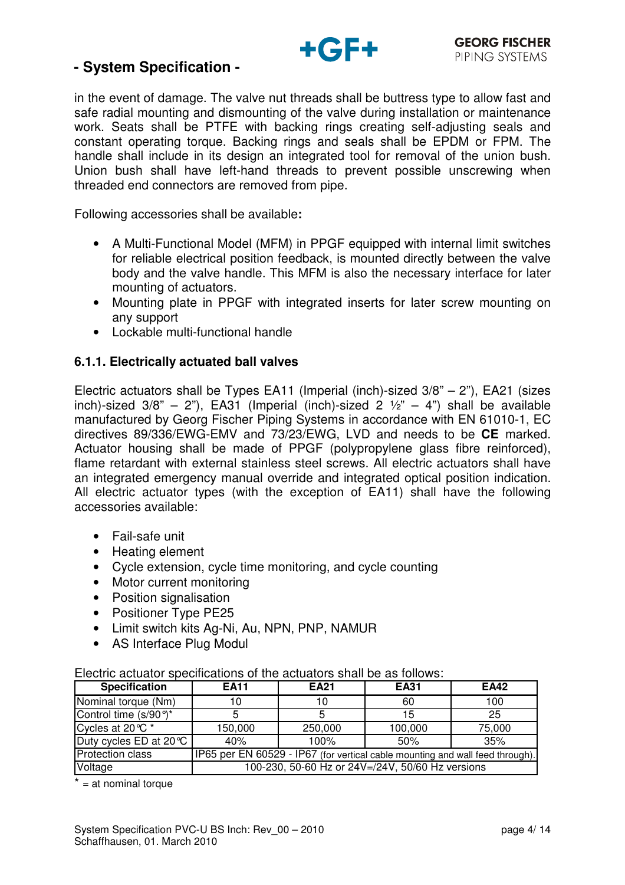

in the event of damage. The valve nut threads shall be buttress type to allow fast and safe radial mounting and dismounting of the valve during installation or maintenance work. Seats shall be PTFE with backing rings creating self-adjusting seals and constant operating torque. Backing rings and seals shall be EPDM or FPM. The handle shall include in its design an integrated tool for removal of the union bush. Union bush shall have left-hand threads to prevent possible unscrewing when threaded end connectors are removed from pipe.

Following accessories shall be available**:** 

- A Multi-Functional Model (MFM) in PPGF equipped with internal limit switches for reliable electrical position feedback, is mounted directly between the valve body and the valve handle. This MFM is also the necessary interface for later mounting of actuators.
- Mounting plate in PPGF with integrated inserts for later screw mounting on any support
- Lockable multi-functional handle

#### **6.1.1. Electrically actuated ball valves**

Electric actuators shall be Types EA11 (Imperial (inch)-sized  $3/8$ " – 2"), EA21 (sizes inch)-sized  $3/8$ " – 2"), EA31 (Imperial (inch)-sized 2  $\frac{1}{2}$ " – 4") shall be available manufactured by Georg Fischer Piping Systems in accordance with EN 61010-1, EC directives 89/336/EWG-EMV and 73/23/EWG, LVD and needs to be **CE** marked. Actuator housing shall be made of PPGF (polypropylene glass fibre reinforced), flame retardant with external stainless steel screws. All electric actuators shall have an integrated emergency manual override and integrated optical position indication. All electric actuator types (with the exception of EA11) shall have the following accessories available:

- Fail-safe unit
- Heating element
- Cycle extension, cycle time monitoring, and cycle counting
- Motor current monitoring
- Position signalisation
- Positioner Type PE25
- Limit switch kits Ag-Ni, Au, NPN, PNP, NAMUR
- AS Interface Plug Modul

#### Electric actuator specifications of the actuators shall be as follows:

| <b>Specification</b>    | <b>EA11</b>                                                                   | <b>EA21</b> | <b>EA31</b> | <b>EA42</b> |  |
|-------------------------|-------------------------------------------------------------------------------|-------------|-------------|-------------|--|
| Nominal torque (Nm)     | 10                                                                            | 10          | 60          | 100         |  |
| Control time (s/90°)*   |                                                                               |             | 15          | 25          |  |
| Cycles at 20 ℃ *        | 150,000                                                                       | 250,000     | 100,000     | 75,000      |  |
| Duty cycles ED at 20 °C | 40%                                                                           | 100%        | 50%         | 35%         |  |
| <b>Protection class</b> | IP65 per EN 60529 - IP67 (for vertical cable mounting and wall feed through). |             |             |             |  |
| Voltage                 | 100-230, 50-60 Hz or 24V=/24V, 50/60 Hz versions                              |             |             |             |  |

 $* = at$  nominal torque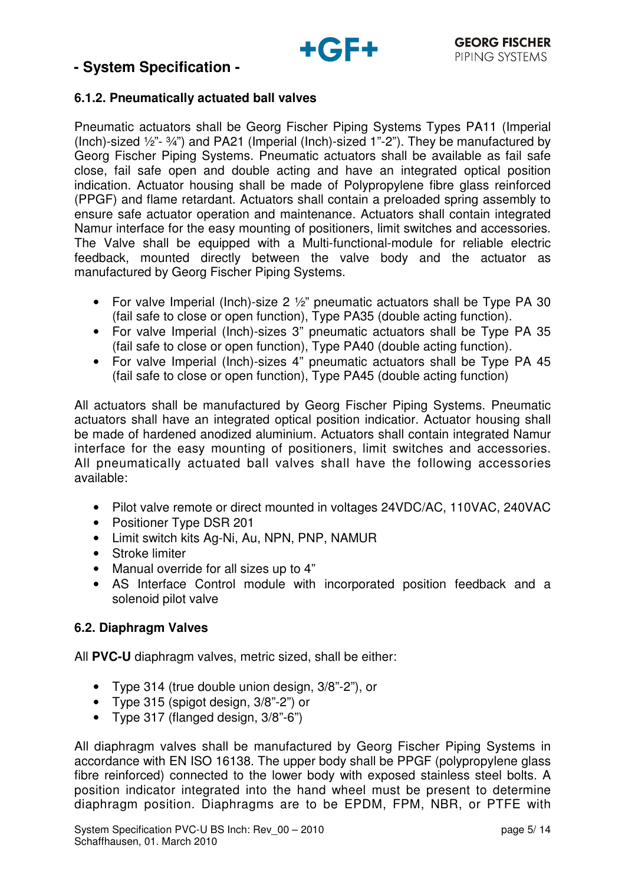

#### **6.1.2. Pneumatically actuated ball valves**

Pneumatic actuators shall be Georg Fischer Piping Systems Types PA11 (Imperial (Inch)-sized ½"- ¾") and PA21 (Imperial (Inch)-sized 1"-2"). They be manufactured by Georg Fischer Piping Systems. Pneumatic actuators shall be available as fail safe close, fail safe open and double acting and have an integrated optical position indication. Actuator housing shall be made of Polypropylene fibre glass reinforced (PPGF) and flame retardant. Actuators shall contain a preloaded spring assembly to ensure safe actuator operation and maintenance. Actuators shall contain integrated Namur interface for the easy mounting of positioners, limit switches and accessories. The Valve shall be equipped with a Multi-functional-module for reliable electric feedback, mounted directly between the valve body and the actuator as manufactured by Georg Fischer Piping Systems.

- For valve Imperial (Inch)-size 2  $\frac{1}{2}$ " pneumatic actuators shall be Type PA 30 (fail safe to close or open function), Type PA35 (double acting function).
- For valve Imperial (Inch)-sizes 3" pneumatic actuators shall be Type PA 35 (fail safe to close or open function), Type PA40 (double acting function).
- For valve Imperial (Inch)-sizes 4" pneumatic actuators shall be Type PA 45 (fail safe to close or open function), Type PA45 (double acting function)

All actuators shall be manufactured by Georg Fischer Piping Systems. Pneumatic actuators shall have an integrated optical position indicatior. Actuator housing shall be made of hardened anodized aluminium. Actuators shall contain integrated Namur interface for the easy mounting of positioners, limit switches and accessories. All pneumatically actuated ball valves shall have the following accessories available:

- Pilot valve remote or direct mounted in voltages 24VDC/AC, 110VAC, 240VAC
- Positioner Type DSR 201
- Limit switch kits Ag-Ni, Au, NPN, PNP, NAMUR
- Stroke limiter
- Manual override for all sizes up to 4"
- AS Interface Control module with incorporated position feedback and a solenoid pilot valve

### **6.2. Diaphragm Valves**

All **PVC-U** diaphragm valves, metric sized, shall be either:

- Type 314 (true double union design, 3/8"-2"), or
- Type 315 (spigot design, 3/8"-2") or
- Type 317 (flanged design, 3/8"-6")

All diaphragm valves shall be manufactured by Georg Fischer Piping Systems in accordance with EN ISO 16138. The upper body shall be PPGF (polypropylene glass fibre reinforced) connected to the lower body with exposed stainless steel bolts. A position indicator integrated into the hand wheel must be present to determine diaphragm position. Diaphragms are to be EPDM, FPM, NBR, or PTFE with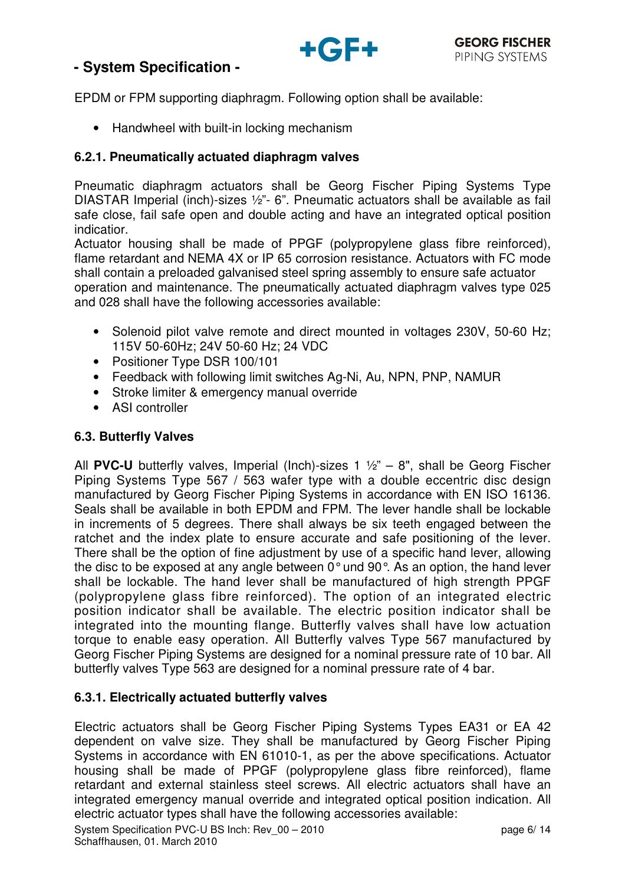

EPDM or FPM supporting diaphragm. Following option shall be available:

• Handwheel with built-in locking mechanism

#### **6.2.1. Pneumatically actuated diaphragm valves**

Pneumatic diaphragm actuators shall be Georg Fischer Piping Systems Type DIASTAR Imperial (inch)-sizes ½"- 6". Pneumatic actuators shall be available as fail safe close, fail safe open and double acting and have an integrated optical position indicatior.

Actuator housing shall be made of PPGF (polypropylene glass fibre reinforced), flame retardant and NEMA 4X or IP 65 corrosion resistance. Actuators with FC mode shall contain a preloaded galvanised steel spring assembly to ensure safe actuator operation and maintenance. The pneumatically actuated diaphragm valves type 025 and 028 shall have the following accessories available:

- Solenoid pilot valve remote and direct mounted in voltages 230V, 50-60 Hz; 115V 50-60Hz; 24V 50-60 Hz; 24 VDC
- Positioner Type DSR 100/101
- Feedback with following limit switches Ag-Ni, Au, NPN, PNP, NAMUR
- Stroke limiter & emergency manual override
- ASI controller

#### **6.3. Butterfly Valves**

All **PVC-U** butterfly valves, Imperial (Inch)-sizes 1 ½" – 8", shall be Georg Fischer Piping Systems Type 567 / 563 wafer type with a double eccentric disc design manufactured by Georg Fischer Piping Systems in accordance with EN ISO 16136. Seals shall be available in both EPDM and FPM. The lever handle shall be lockable in increments of 5 degrees. There shall always be six teeth engaged between the ratchet and the index plate to ensure accurate and safe positioning of the lever. There shall be the option of fine adjustment by use of a specific hand lever, allowing the disc to be exposed at any angle between 0° und 90°. As an option, the hand lever shall be lockable. The hand lever shall be manufactured of high strength PPGF (polypropylene glass fibre reinforced). The option of an integrated electric position indicator shall be available. The electric position indicator shall be integrated into the mounting flange. Butterfly valves shall have low actuation torque to enable easy operation. All Butterfly valves Type 567 manufactured by Georg Fischer Piping Systems are designed for a nominal pressure rate of 10 bar. All butterfly valves Type 563 are designed for a nominal pressure rate of 4 bar.

### **6.3.1. Electrically actuated butterfly valves**

Electric actuators shall be Georg Fischer Piping Systems Types EA31 or EA 42 dependent on valve size. They shall be manufactured by Georg Fischer Piping Systems in accordance with EN 61010-1, as per the above specifications. Actuator housing shall be made of PPGF (polypropylene glass fibre reinforced), flame retardant and external stainless steel screws. All electric actuators shall have an integrated emergency manual override and integrated optical position indication. All electric actuator types shall have the following accessories available: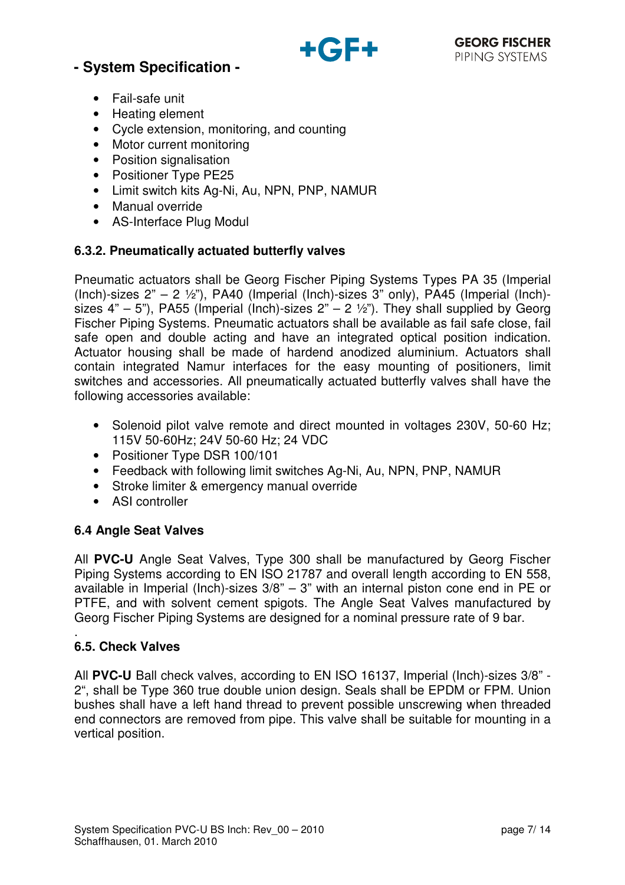

- Fail-safe unit
- Heating element
- Cycle extension, monitoring, and counting
- Motor current monitoring
- Position signalisation
- Positioner Type PE25
- Limit switch kits Ag-Ni, Au, NPN, PNP, NAMUR
- Manual override
- AS-Interface Plug Modul

### **6.3.2. Pneumatically actuated butterfly valves**

Pneumatic actuators shall be Georg Fischer Piping Systems Types PA 35 (Imperial (Inch)-sizes  $2" - 2 \frac{1}{2}$ "), PA40 (Imperial (Inch)-sizes  $3"$  only), PA45 (Imperial (Inch)sizes  $4" - 5"$ ), PA55 (Imperial (Inch)-sizes  $2" - 2 \frac{1}{2}$ ). They shall supplied by Georg Fischer Piping Systems. Pneumatic actuators shall be available as fail safe close, fail safe open and double acting and have an integrated optical position indication. Actuator housing shall be made of hardend anodized aluminium. Actuators shall contain integrated Namur interfaces for the easy mounting of positioners, limit switches and accessories. All pneumatically actuated butterfly valves shall have the following accessories available:

- Solenoid pilot valve remote and direct mounted in voltages 230V, 50-60 Hz; 115V 50-60Hz; 24V 50-60 Hz; 24 VDC
- Positioner Type DSR 100/101
- Feedback with following limit switches Ag-Ni, Au, NPN, PNP, NAMUR
- Stroke limiter & emergency manual override
- ASI controller

### **6.4 Angle Seat Valves**

All **PVC-U** Angle Seat Valves, Type 300 shall be manufactured by Georg Fischer Piping Systems according to EN ISO 21787 and overall length according to EN 558, available in Imperial (Inch)-sizes 3/8" – 3" with an internal piston cone end in PE or PTFE, and with solvent cement spigots. The Angle Seat Valves manufactured by Georg Fischer Piping Systems are designed for a nominal pressure rate of 9 bar.

#### . **6.5. Check Valves**

All **PVC-U** Ball check valves, according to EN ISO 16137, Imperial (Inch)-sizes 3/8" - 2", shall be Type 360 true double union design. Seals shall be EPDM or FPM. Union bushes shall have a left hand thread to prevent possible unscrewing when threaded end connectors are removed from pipe. This valve shall be suitable for mounting in a vertical position.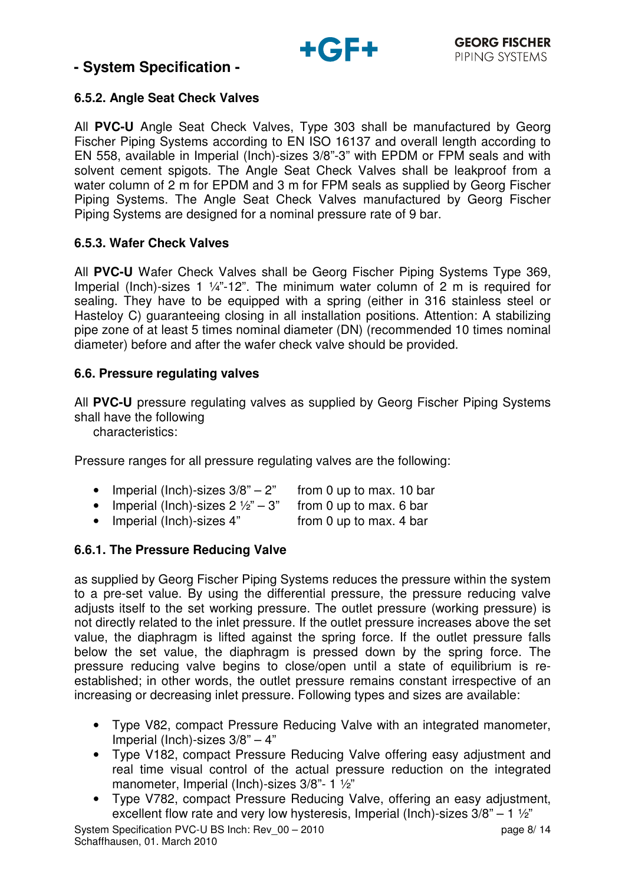

## **6.5.2. Angle Seat Check Valves**

All **PVC-U** Angle Seat Check Valves, Type 303 shall be manufactured by Georg Fischer Piping Systems according to EN ISO 16137 and overall length according to EN 558, available in Imperial (Inch)-sizes 3/8"-3" with EPDM or FPM seals and with solvent cement spigots. The Angle Seat Check Valves shall be leakproof from a water column of 2 m for EPDM and 3 m for FPM seals as supplied by Georg Fischer Piping Systems. The Angle Seat Check Valves manufactured by Georg Fischer Piping Systems are designed for a nominal pressure rate of 9 bar.

### **6.5.3. Wafer Check Valves**

All **PVC-U** Wafer Check Valves shall be Georg Fischer Piping Systems Type 369, Imperial (Inch)-sizes 1 ¼"-12". The minimum water column of 2 m is required for sealing. They have to be equipped with a spring (either in 316 stainless steel or Hasteloy C) guaranteeing closing in all installation positions. Attention: A stabilizing pipe zone of at least 5 times nominal diameter (DN) (recommended 10 times nominal diameter) before and after the wafer check valve should be provided.

### **6.6. Pressure regulating valves**

All **PVC-U** pressure regulating valves as supplied by Georg Fischer Piping Systems shall have the following

characteristics:

Pressure ranges for all pressure regulating valves are the following:

- Imperial (Inch)-sizes  $3/8" 2"$  from 0 up to max. 10 bar
- Imperial (Inch)-sizes  $2\frac{1}{2}$ " 3" from 0 up to max. 6 bar
- Imperial (Inch)-sizes 4" from 0 up to max. 4 bar

## **6.6.1. The Pressure Reducing Valve**

as supplied by Georg Fischer Piping Systems reduces the pressure within the system to a pre-set value. By using the differential pressure, the pressure reducing valve adjusts itself to the set working pressure. The outlet pressure (working pressure) is not directly related to the inlet pressure. If the outlet pressure increases above the set value, the diaphragm is lifted against the spring force. If the outlet pressure falls below the set value, the diaphragm is pressed down by the spring force. The pressure reducing valve begins to close/open until a state of equilibrium is reestablished; in other words, the outlet pressure remains constant irrespective of an increasing or decreasing inlet pressure. Following types and sizes are available:

- Type V82, compact Pressure Reducing Valve with an integrated manometer, Imperial (Inch)-sizes 3/8" – 4"
- Type V182, compact Pressure Reducing Valve offering easy adjustment and real time visual control of the actual pressure reduction on the integrated manometer, Imperial (Inch)-sizes 3/8"- 1 ½"
- Type V782, compact Pressure Reducing Valve, offering an easy adjustment, excellent flow rate and very low hysteresis, Imperial (Inch)-sizes 3/8" – 1 ½"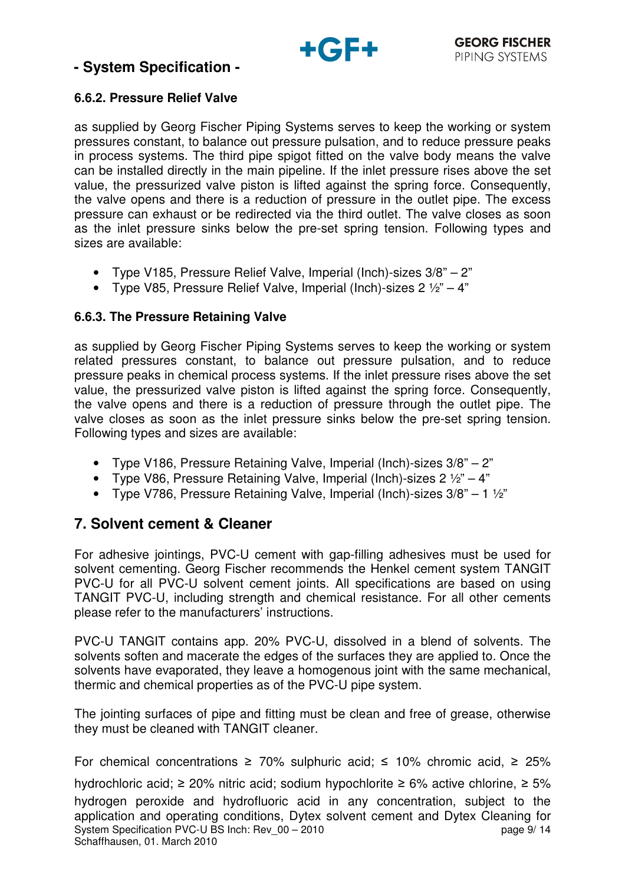

## **6.6.2. Pressure Relief Valve**

as supplied by Georg Fischer Piping Systems serves to keep the working or system pressures constant, to balance out pressure pulsation, and to reduce pressure peaks in process systems. The third pipe spigot fitted on the valve body means the valve can be installed directly in the main pipeline. If the inlet pressure rises above the set value, the pressurized valve piston is lifted against the spring force. Consequently, the valve opens and there is a reduction of pressure in the outlet pipe. The excess pressure can exhaust or be redirected via the third outlet. The valve closes as soon as the inlet pressure sinks below the pre-set spring tension. Following types and sizes are available:

- Type V185, Pressure Relief Valve, Imperial (Inch)-sizes 3/8" 2"
- Type V85, Pressure Relief Valve, Imperial (Inch)-sizes  $2 \frac{1}{2}$ " 4"

### **6.6.3. The Pressure Retaining Valve**

as supplied by Georg Fischer Piping Systems serves to keep the working or system related pressures constant, to balance out pressure pulsation, and to reduce pressure peaks in chemical process systems. If the inlet pressure rises above the set value, the pressurized valve piston is lifted against the spring force. Consequently, the valve opens and there is a reduction of pressure through the outlet pipe. The valve closes as soon as the inlet pressure sinks below the pre-set spring tension. Following types and sizes are available:

- Type V186, Pressure Retaining Valve, Imperial (Inch)-sizes 3/8" 2"
- Type V86, Pressure Retaining Valve, Imperial (Inch)-sizes  $2 \frac{1}{2}$ " 4"
- Type V786, Pressure Retaining Valve, Imperial (Inch)-sizes 3/8" 1 ½"

## **7. Solvent cement & Cleaner**

For adhesive jointings, PVC-U cement with gap-filling adhesives must be used for solvent cementing. Georg Fischer recommends the Henkel cement system TANGIT PVC-U for all PVC-U solvent cement joints. All specifications are based on using TANGIT PVC-U, including strength and chemical resistance. For all other cements please refer to the manufacturers' instructions.

PVC-U TANGIT contains app. 20% PVC-U, dissolved in a blend of solvents. The solvents soften and macerate the edges of the surfaces they are applied to. Once the solvents have evaporated, they leave a homogenous joint with the same mechanical, thermic and chemical properties as of the PVC-U pipe system.

The jointing surfaces of pipe and fitting must be clean and free of grease, otherwise they must be cleaned with TANGIT cleaner.

For chemical concentrations  $\geq 70\%$  sulphuric acid;  $\leq 10\%$  chromic acid,  $\geq 25\%$ 

System Specification PVC-U BS Inch: Rev 00 – 2010 **page 9/ 14** page 9/ 14 Schaffhausen, 01. March 2010 hydrochloric acid;  $\geq$  20% nitric acid; sodium hypochlorite  $\geq$  6% active chlorine,  $\geq$  5% hydrogen peroxide and hydrofluoric acid in any concentration, subject to the application and operating conditions, Dytex solvent cement and Dytex Cleaning for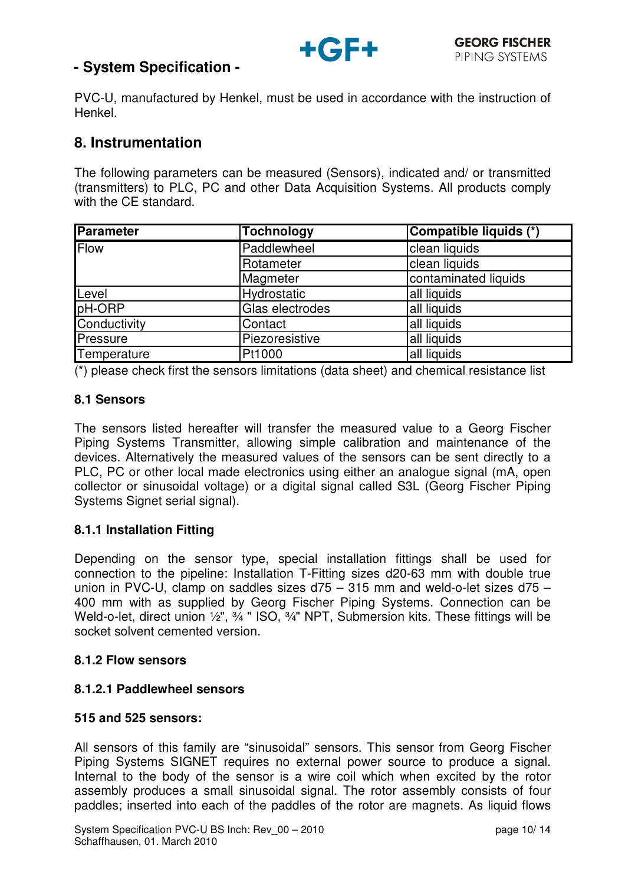

PVC-U, manufactured by Henkel, must be used in accordance with the instruction of Henkel.

## **8. Instrumentation**

The following parameters can be measured (Sensors), indicated and/ or transmitted (transmitters) to PLC, PC and other Data Acquisition Systems. All products comply with the CE standard.

| <b>Parameter</b>           | Tochnology      | Compatible liquids (*) |
|----------------------------|-----------------|------------------------|
| <b>Flow</b><br>Paddlewheel |                 | clean liquids          |
|                            | Rotameter       | clean liquids          |
|                            | Magmeter        | contaminated liquids   |
| Level                      | Hydrostatic     | all liquids            |
| pH-ORP                     | Glas electrodes | all liquids            |
| Conductivity               | Contact         | all liquids            |
| Pressure                   | Piezoresistive  | all liquids            |
| Temperature                | Pt1000          | all liquids            |

(\*) please check first the sensors limitations (data sheet) and chemical resistance list

#### **8.1 Sensors**

The sensors listed hereafter will transfer the measured value to a Georg Fischer Piping Systems Transmitter, allowing simple calibration and maintenance of the devices. Alternatively the measured values of the sensors can be sent directly to a PLC, PC or other local made electronics using either an analogue signal (mA, open collector or sinusoidal voltage) or a digital signal called S3L (Georg Fischer Piping Systems Signet serial signal).

### **8.1.1 Installation Fitting**

Depending on the sensor type, special installation fittings shall be used for connection to the pipeline: Installation T-Fitting sizes d20-63 mm with double true union in PVC-U, clamp on saddles sizes d75 – 315 mm and weld-o-let sizes d75 – 400 mm with as supplied by Georg Fischer Piping Systems. Connection can be Weld-o-let, direct union 1/2", 3/4" ISO, 3/4" NPT, Submersion kits. These fittings will be socket solvent cemented version.

#### **8.1.2 Flow sensors**

### **8.1.2.1 Paddlewheel sensors**

#### **515 and 525 sensors:**

All sensors of this family are "sinusoidal" sensors. This sensor from Georg Fischer Piping Systems SIGNET requires no external power source to produce a signal. Internal to the body of the sensor is a wire coil which when excited by the rotor assembly produces a small sinusoidal signal. The rotor assembly consists of four paddles; inserted into each of the paddles of the rotor are magnets. As liquid flows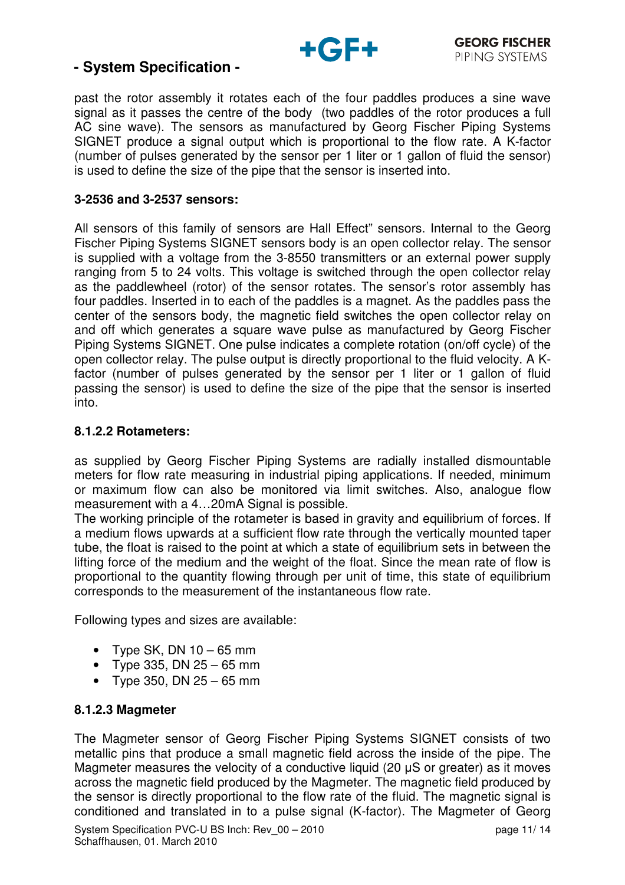

past the rotor assembly it rotates each of the four paddles produces a sine wave signal as it passes the centre of the body (two paddles of the rotor produces a full AC sine wave). The sensors as manufactured by Georg Fischer Piping Systems SIGNET produce a signal output which is proportional to the flow rate. A K-factor (number of pulses generated by the sensor per 1 liter or 1 gallon of fluid the sensor) is used to define the size of the pipe that the sensor is inserted into.

#### **3-2536 and 3-2537 sensors:**

All sensors of this family of sensors are Hall Effect" sensors. Internal to the Georg Fischer Piping Systems SIGNET sensors body is an open collector relay. The sensor is supplied with a voltage from the 3-8550 transmitters or an external power supply ranging from 5 to 24 volts. This voltage is switched through the open collector relay as the paddlewheel (rotor) of the sensor rotates. The sensor's rotor assembly has four paddles. Inserted in to each of the paddles is a magnet. As the paddles pass the center of the sensors body, the magnetic field switches the open collector relay on and off which generates a square wave pulse as manufactured by Georg Fischer Piping Systems SIGNET. One pulse indicates a complete rotation (on/off cycle) of the open collector relay. The pulse output is directly proportional to the fluid velocity. A Kfactor (number of pulses generated by the sensor per 1 liter or 1 gallon of fluid passing the sensor) is used to define the size of the pipe that the sensor is inserted into.

#### **8.1.2.2 Rotameters:**

as supplied by Georg Fischer Piping Systems are radially installed dismountable meters for flow rate measuring in industrial piping applications. If needed, minimum or maximum flow can also be monitored via limit switches. Also, analogue flow measurement with a 4...20mA Signal is possible.

The working principle of the rotameter is based in gravity and equilibrium of forces. If a medium flows upwards at a sufficient flow rate through the vertically mounted taper tube, the float is raised to the point at which a state of equilibrium sets in between the lifting force of the medium and the weight of the float. Since the mean rate of flow is proportional to the quantity flowing through per unit of time, this state of equilibrium corresponds to the measurement of the instantaneous flow rate.

Following types and sizes are available:

- Type SK, DN  $10 65$  mm
- Type 335, DN  $25 65$  mm
- Type 350, DN  $25 65$  mm

#### **8.1.2.3 Magmeter**

The Magmeter sensor of Georg Fischer Piping Systems SIGNET consists of two metallic pins that produce a small magnetic field across the inside of the pipe. The Magmeter measures the velocity of a conductive liquid (20 µS or greater) as it moves across the magnetic field produced by the Magmeter. The magnetic field produced by the sensor is directly proportional to the flow rate of the fluid. The magnetic signal is conditioned and translated in to a pulse signal (K-factor). The Magmeter of Georg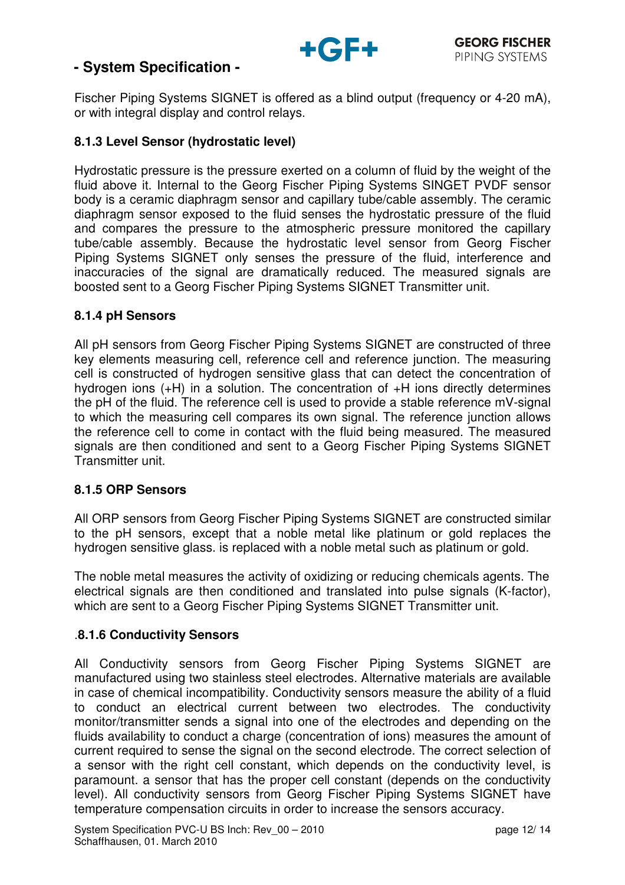

Fischer Piping Systems SIGNET is offered as a blind output (frequency or 4-20 mA), or with integral display and control relays.

### **8.1.3 Level Sensor (hydrostatic level)**

Hydrostatic pressure is the pressure exerted on a column of fluid by the weight of the fluid above it. Internal to the Georg Fischer Piping Systems SINGET PVDF sensor body is a ceramic diaphragm sensor and capillary tube/cable assembly. The ceramic diaphragm sensor exposed to the fluid senses the hydrostatic pressure of the fluid and compares the pressure to the atmospheric pressure monitored the capillary tube/cable assembly. Because the hydrostatic level sensor from Georg Fischer Piping Systems SIGNET only senses the pressure of the fluid, interference and inaccuracies of the signal are dramatically reduced. The measured signals are boosted sent to a Georg Fischer Piping Systems SIGNET Transmitter unit.

### **8.1.4 pH Sensors**

All pH sensors from Georg Fischer Piping Systems SIGNET are constructed of three key elements measuring cell, reference cell and reference junction. The measuring cell is constructed of hydrogen sensitive glass that can detect the concentration of hydrogen ions (+H) in a solution. The concentration of +H ions directly determines the pH of the fluid. The reference cell is used to provide a stable reference mV-signal to which the measuring cell compares its own signal. The reference junction allows the reference cell to come in contact with the fluid being measured. The measured signals are then conditioned and sent to a Georg Fischer Piping Systems SIGNET Transmitter unit.

### **8.1.5 ORP Sensors**

All ORP sensors from Georg Fischer Piping Systems SIGNET are constructed similar to the pH sensors, except that a noble metal like platinum or gold replaces the hydrogen sensitive glass. is replaced with a noble metal such as platinum or gold.

The noble metal measures the activity of oxidizing or reducing chemicals agents. The electrical signals are then conditioned and translated into pulse signals (K-factor), which are sent to a Georg Fischer Piping Systems SIGNET Transmitter unit.

### .**8.1.6 Conductivity Sensors**

All Conductivity sensors from Georg Fischer Piping Systems SIGNET are manufactured using two stainless steel electrodes. Alternative materials are available in case of chemical incompatibility. Conductivity sensors measure the ability of a fluid to conduct an electrical current between two electrodes. The conductivity monitor/transmitter sends a signal into one of the electrodes and depending on the fluids availability to conduct a charge (concentration of ions) measures the amount of current required to sense the signal on the second electrode. The correct selection of a sensor with the right cell constant, which depends on the conductivity level, is paramount. a sensor that has the proper cell constant (depends on the conductivity level). All conductivity sensors from Georg Fischer Piping Systems SIGNET have temperature compensation circuits in order to increase the sensors accuracy.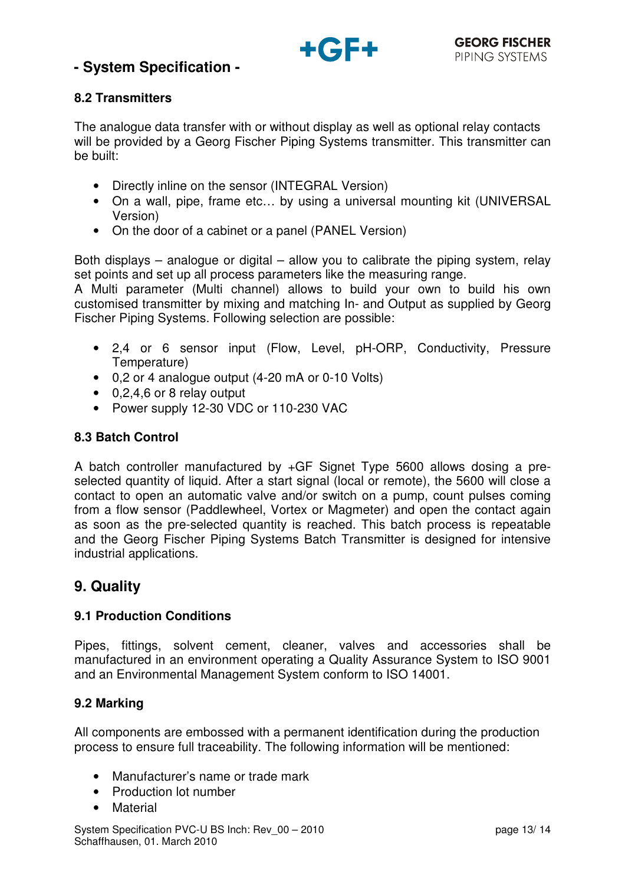

## **8.2 Transmitters**

The analogue data transfer with or without display as well as optional relay contacts will be provided by a Georg Fischer Piping Systems transmitter. This transmitter can be built:

- Directly inline on the sensor (INTEGRAL Version)
- On a wall, pipe, frame etc... by using a universal mounting kit (UNIVERSAL Version)
- On the door of a cabinet or a panel (PANEL Version)

Both displays – analogue or digital – allow you to calibrate the piping system, relay set points and set up all process parameters like the measuring range.

A Multi parameter (Multi channel) allows to build your own to build his own customised transmitter by mixing and matching In- and Output as supplied by Georg Fischer Piping Systems. Following selection are possible:

- 2,4 or 6 sensor input (Flow, Level, pH-ORP, Conductivity, Pressure Temperature)
- 0,2 or 4 analogue output (4-20 mA or 0-10 Volts)
- 0,2,4,6 or 8 relay output
- Power supply 12-30 VDC or 110-230 VAC

### **8.3 Batch Control**

A batch controller manufactured by +GF Signet Type 5600 allows dosing a preselected quantity of liquid. After a start signal (local or remote), the 5600 will close a contact to open an automatic valve and/or switch on a pump, count pulses coming from a flow sensor (Paddlewheel, Vortex or Magmeter) and open the contact again as soon as the pre-selected quantity is reached. This batch process is repeatable and the Georg Fischer Piping Systems Batch Transmitter is designed for intensive industrial applications.

# **9. Quality**

### **9.1 Production Conditions**

Pipes, fittings, solvent cement, cleaner, valves and accessories shall be manufactured in an environment operating a Quality Assurance System to ISO 9001 and an Environmental Management System conform to ISO 14001.

### **9.2 Marking**

All components are embossed with a permanent identification during the production process to ensure full traceability. The following information will be mentioned:

- Manufacturer's name or trade mark
- Production lot number
- Material